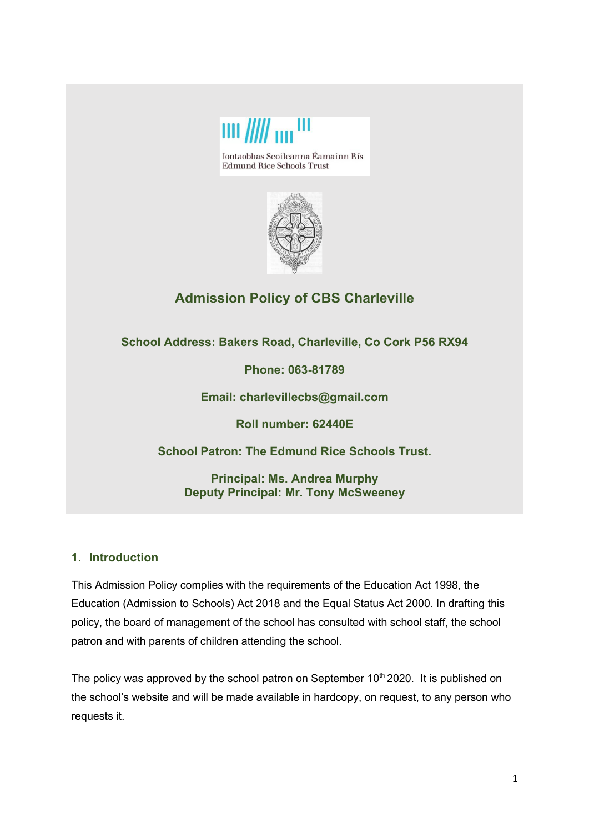

**School Patron: The Edmund Rice Schools Trust.**

**Principal: Ms. Andrea Murphy Deputy Principal: Mr. Tony McSweeney**

## **1. Introduction**

This Admission Policy complies with the requirements of the Education Act 1998, the Education (Admission to Schools) Act 2018 and the Equal Status Act 2000. In drafting this policy, the board of management of the school has consulted with school staff, the school patron and with parents of children attending the school.

The policy was approved by the school patron on September  $10<sup>th</sup> 2020$ . It is published on the school's website and will be made available in hardcopy, on request, to any person who requests it.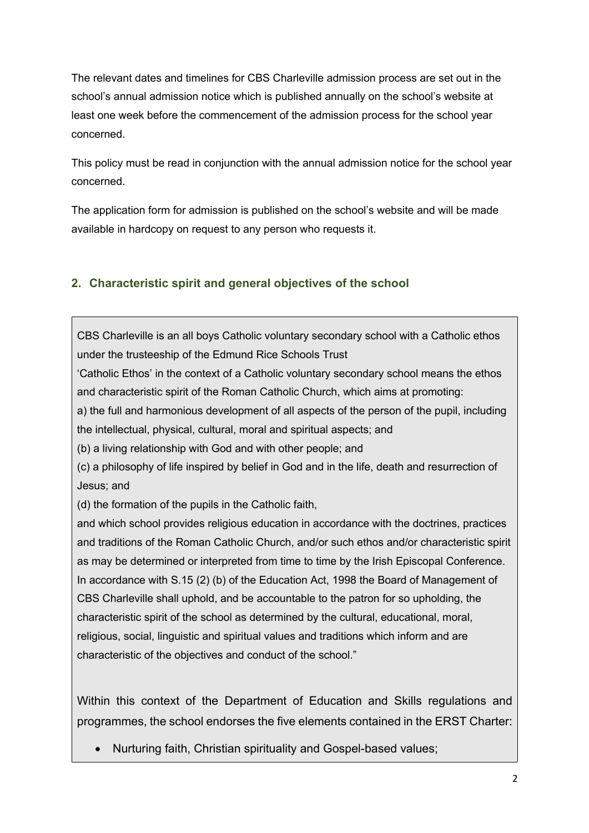The relevant dates and timelines for CBS Charleville admission process are set out in the school's annual admission notice which is published annually on the school's website at least one week before the commencement of the admission process for the school year concerned.

This policy must be read in conjunction with the annual admission notice for the school year concerned.

The application form for admission is published on the school's website and will be made available in hardcopy on request to any person who requests it.

## **2. Characteristic spirit and general objectives of the school**

CBS Charleville is an all boys Catholic voluntary secondary school with a Catholic ethos under the trusteeship of the Edmund Rice Schools Trust

'Catholic Ethos' in the context of a Catholic voluntary secondary school means the ethos and characteristic spirit of the Roman Catholic Church, which aims at promoting:

a) the full and harmonious development of all aspects of the person of the pupil, including the intellectual, physical, cultural, moral and spiritual aspects; and

(b) a living relationship with God and with other people; and

(c) a philosophy of life inspired by belief in God and in the life, death and resurrection of Jesus; and

(d) the formation of the pupils in the Catholic faith,

and which school provides religious education in accordance with the doctrines, practices and traditions of the Roman Catholic Church, and/or such ethos and/or characteristic spirit as may be determined or interpreted from time to time by the Irish Episcopal Conference. In accordance with S.15 (2) (b) of the Education Act, 1998 the Board of Management of CBS Charleville shall uphold, and be accountable to the patron for so upholding, the characteristic spirit of the school as determined by the cultural, educational, moral, religious, social, linguistic and spiritual values and traditions which inform and are characteristic of the objectives and conduct of the school."

Within this context of the Department of Education and Skills regulations and programmes, the school endorses the five elements contained in the ERST Charter:

• Nurturing faith, Christian spirituality and Gospel-based values;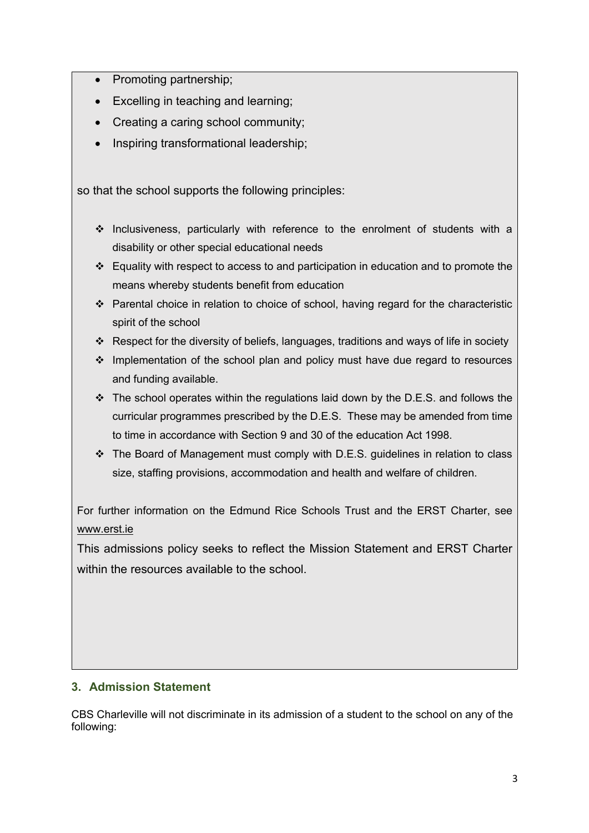- Promoting partnership;
- Excelling in teaching and learning;
- Creating a caring school community;
- Inspiring transformational leadership;

so that the school supports the following principles:

- $\cdot$  Inclusiveness, particularly with reference to the enrolment of students with a disability or other special educational needs
- $\cdot$  Equality with respect to access to and participation in education and to promote the means whereby students benefit from education
- \* Parental choice in relation to choice of school, having regard for the characteristic spirit of the school
- v Respect for the diversity of beliefs, languages, traditions and ways of life in society
- \* Implementation of the school plan and policy must have due regard to resources and funding available.
- $\div$  The school operates within the regulations laid down by the D.E.S. and follows the curricular programmes prescribed by the D.E.S. These may be amended from time to time in accordance with Section 9 and 30 of the education Act 1998.
- $\cdot$  The Board of Management must comply with D.E.S. guidelines in relation to class size, staffing provisions, accommodation and health and welfare of children.

For further information on the Edmund Rice Schools Trust and the ERST Charter, see www.erst.ie

This admissions policy seeks to reflect the Mission Statement and ERST Charter within the resources available to the school.

## **3. Admission Statement**

CBS Charleville will not discriminate in its admission of a student to the school on any of the following: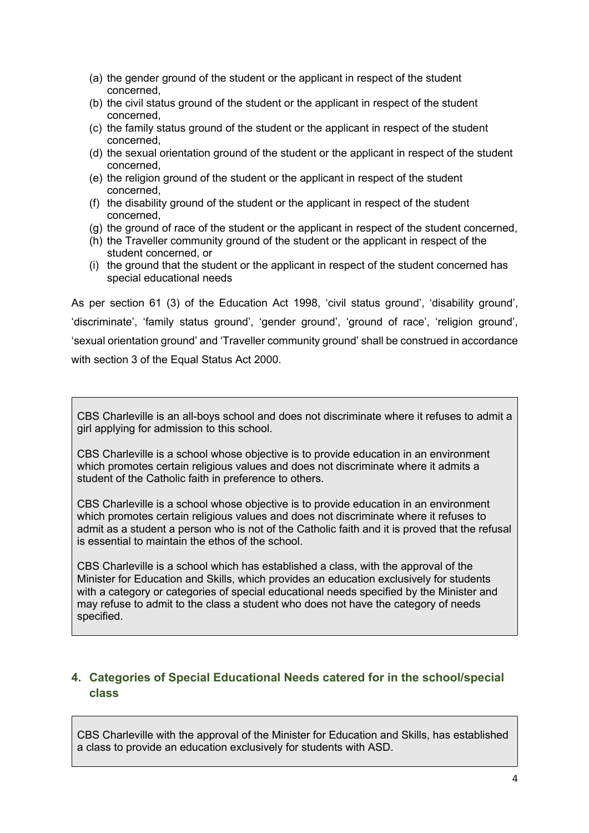- (a) the gender ground of the student or the applicant in respect of the student concerned,
- (b) the civil status ground of the student or the applicant in respect of the student concerned,
- (c) the family status ground of the student or the applicant in respect of the student concerned,
- (d) the sexual orientation ground of the student or the applicant in respect of the student concerned,
- (e) the religion ground of the student or the applicant in respect of the student concerned,
- (f) the disability ground of the student or the applicant in respect of the student concerned,
- (g) the ground of race of the student or the applicant in respect of the student concerned,
- (h) the Traveller community ground of the student or the applicant in respect of the student concerned, or
- (i) the ground that the student or the applicant in respect of the student concerned has special educational needs

As per section 61 (3) of the Education Act 1998, 'civil status ground', 'disability ground', 'discriminate', 'family status ground', 'gender ground', 'ground of race', 'religion ground', 'sexual orientation ground' and 'Traveller community ground' shall be construed in accordance with section 3 of the Equal Status Act 2000.

CBS Charleville is an all-boys school and does not discriminate where it refuses to admit a girl applying for admission to this school.

CBS Charleville is a school whose objective is to provide education in an environment which promotes certain religious values and does not discriminate where it admits a student of the Catholic faith in preference to others.

CBS Charleville is a school whose objective is to provide education in an environment which promotes certain religious values and does not discriminate where it refuses to admit as a student a person who is not of the Catholic faith and it is proved that the refusal is essential to maintain the ethos of the school.

CBS Charleville is a school which has established a class, with the approval of the Minister for Education and Skills, which provides an education exclusively for students with a category or categories of special educational needs specified by the Minister and may refuse to admit to the class a student who does not have the category of needs specified.

### **4. Categories of Special Educational Needs catered for in the school/special class**

CBS Charleville with the approval of the Minister for Education and Skills, has established a class to provide an education exclusively for students with ASD.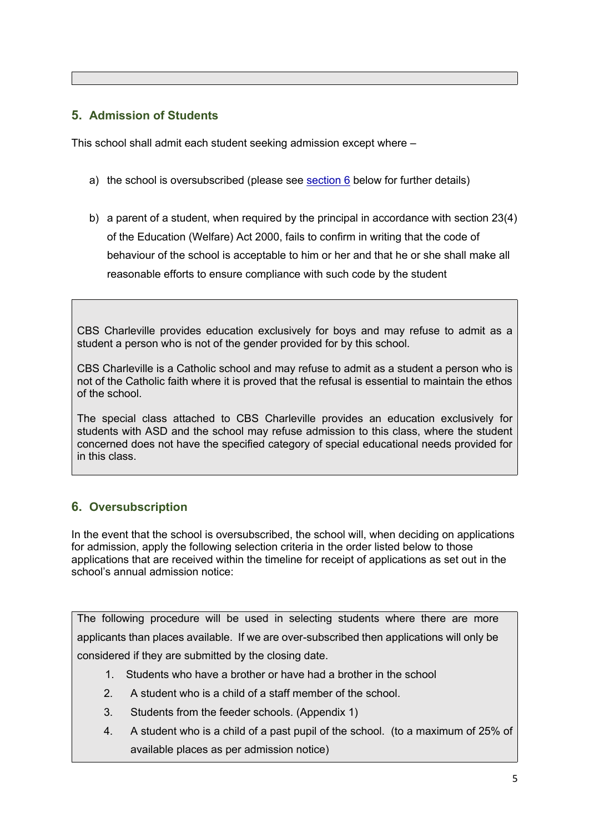## **5. Admission of Students**

This school shall admit each student seeking admission except where –

- a) the school is oversubscribed (please see section 6 below for further details)
- b) a parent of a student, when required by the principal in accordance with section 23(4) of the Education (Welfare) Act 2000, fails to confirm in writing that the code of behaviour of the school is acceptable to him or her and that he or she shall make all reasonable efforts to ensure compliance with such code by the student

CBS Charleville provides education exclusively for boys and may refuse to admit as a student a person who is not of the gender provided for by this school.

CBS Charleville is a Catholic school and may refuse to admit as a student a person who is not of the Catholic faith where it is proved that the refusal is essential to maintain the ethos of the school.

The special class attached to CBS Charleville provides an education exclusively for students with ASD and the school may refuse admission to this class, where the student concerned does not have the specified category of special educational needs provided for in this class.

# **6. Oversubscription**

In the event that the school is oversubscribed, the school will, when deciding on applications for admission, apply the following selection criteria in the order listed below to those applications that are received within the timeline for receipt of applications as set out in the school's annual admission notice:

The following procedure will be used in selecting students where there are more applicants than places available. If we are over-subscribed then applications will only be considered if they are submitted by the closing date.

- 1. Students who have a brother or have had a brother in the school
- 2. A student who is a child of a staff member of the school.
- 3. Students from the feeder schools. (Appendix 1)
- 4. A student who is a child of a past pupil of the school. (to a maximum of 25% of available places as per admission notice)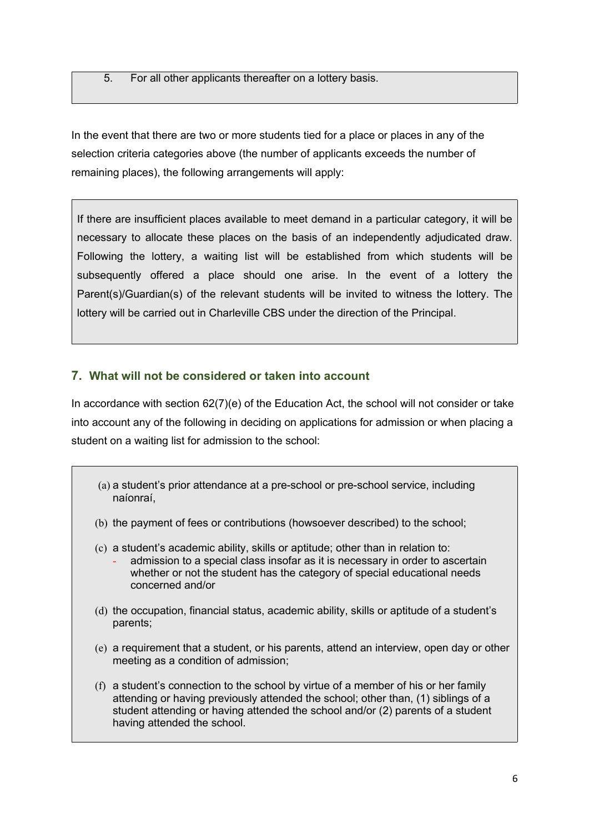5. For all other applicants thereafter on a lottery basis.

In the event that there are two or more students tied for a place or places in any of the selection criteria categories above (the number of applicants exceeds the number of remaining places), the following arrangements will apply:

If there are insufficient places available to meet demand in a particular category, it will be necessary to allocate these places on the basis of an independently adjudicated draw. Following the lottery, a waiting list will be established from which students will be subsequently offered a place should one arise. In the event of a lottery the Parent(s)/Guardian(s) of the relevant students will be invited to witness the lottery. The lottery will be carried out in Charleville CBS under the direction of the Principal.

## **7. What will not be considered or taken into account**

In accordance with section 62(7)(e) of the Education Act, the school will not consider or take into account any of the following in deciding on applications for admission or when placing a student on a waiting list for admission to the school:

- (a) a student's prior attendance at a pre-school or pre-school service, including naíonraí,
- (b) the payment of fees or contributions (howsoever described) to the school;
- (c) a student's academic ability, skills or aptitude; other than in relation to:
	- admission to a special class insofar as it is necessary in order to ascertain whether or not the student has the category of special educational needs concerned and/or
- (d) the occupation, financial status, academic ability, skills or aptitude of a student's parents;
- (e) a requirement that a student, or his parents, attend an interview, open day or other meeting as a condition of admission;
- (f) a student's connection to the school by virtue of a member of his or her family attending or having previously attended the school; other than, (1) siblings of a student attending or having attended the school and/or (2) parents of a student having attended the school.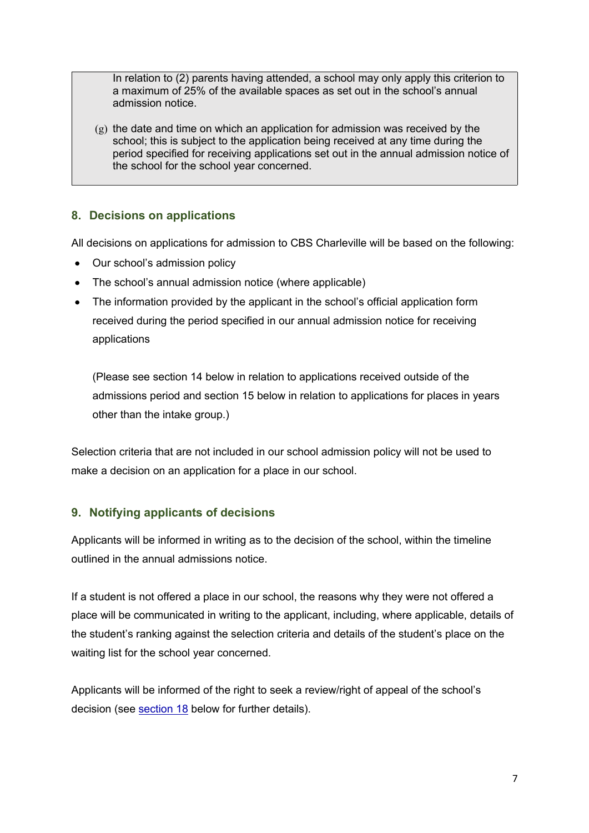In relation to (2) parents having attended, a school may only apply this criterion to a maximum of 25% of the available spaces as set out in the school's annual admission notice.

 $(g)$  the date and time on which an application for admission was received by the school; this is subject to the application being received at any time during the period specified for receiving applications set out in the annual admission notice of the school for the school year concerned.

### **8. Decisions on applications**

All decisions on applications for admission to CBS Charleville will be based on the following:

- Our school's admission policy
- The school's annual admission notice (where applicable)
- The information provided by the applicant in the school's official application form received during the period specified in our annual admission notice for receiving applications

(Please see section 14 below in relation to applications received outside of the admissions period and section 15 below in relation to applications for places in years other than the intake group.)

Selection criteria that are not included in our school admission policy will not be used to make a decision on an application for a place in our school.

## **9. Notifying applicants of decisions**

Applicants will be informed in writing as to the decision of the school, within the timeline outlined in the annual admissions notice.

If a student is not offered a place in our school, the reasons why they were not offered a place will be communicated in writing to the applicant, including, where applicable, details of the student's ranking against the selection criteria and details of the student's place on the waiting list for the school year concerned.

Applicants will be informed of the right to seek a review/right of appeal of the school's decision (see section 18 below for further details).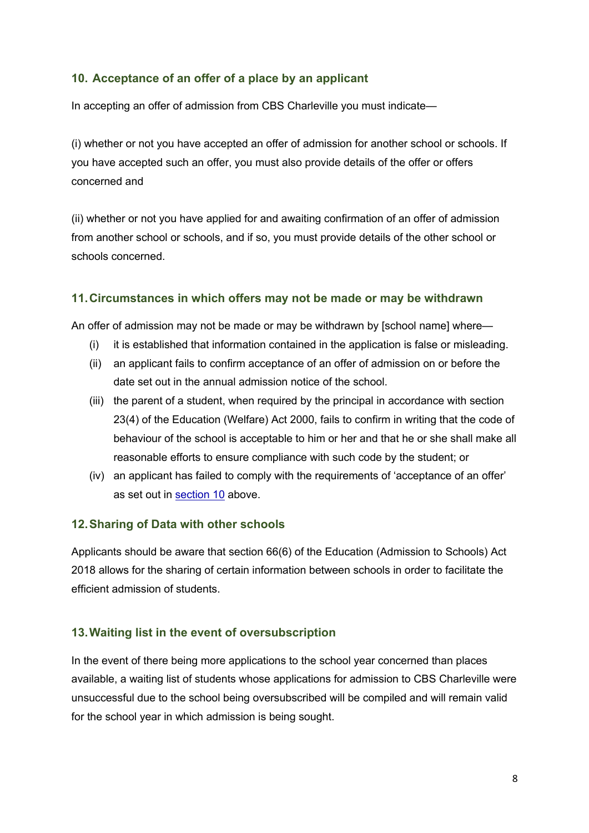### **10. Acceptance of an offer of a place by an applicant**

In accepting an offer of admission from CBS Charleville you must indicate—

(i) whether or not you have accepted an offer of admission for another school or schools. If you have accepted such an offer, you must also provide details of the offer or offers concerned and

(ii) whether or not you have applied for and awaiting confirmation of an offer of admission from another school or schools, and if so, you must provide details of the other school or schools concerned.

### **11.Circumstances in which offers may not be made or may be withdrawn**

An offer of admission may not be made or may be withdrawn by [school name] where—

- (i) it is established that information contained in the application is false or misleading.
- (ii) an applicant fails to confirm acceptance of an offer of admission on or before the date set out in the annual admission notice of the school.
- (iii) the parent of a student, when required by the principal in accordance with section 23(4) of the Education (Welfare) Act 2000, fails to confirm in writing that the code of behaviour of the school is acceptable to him or her and that he or she shall make all reasonable efforts to ensure compliance with such code by the student; or
- (iv) an applicant has failed to comply with the requirements of 'acceptance of an offer' as set out in section 10 above.

### **12.Sharing of Data with other schools**

Applicants should be aware that section 66(6) of the Education (Admission to Schools) Act 2018 allows for the sharing of certain information between schools in order to facilitate the efficient admission of students.

### **13.Waiting list in the event of oversubscription**

In the event of there being more applications to the school year concerned than places available, a waiting list of students whose applications for admission to CBS Charleville were unsuccessful due to the school being oversubscribed will be compiled and will remain valid for the school year in which admission is being sought.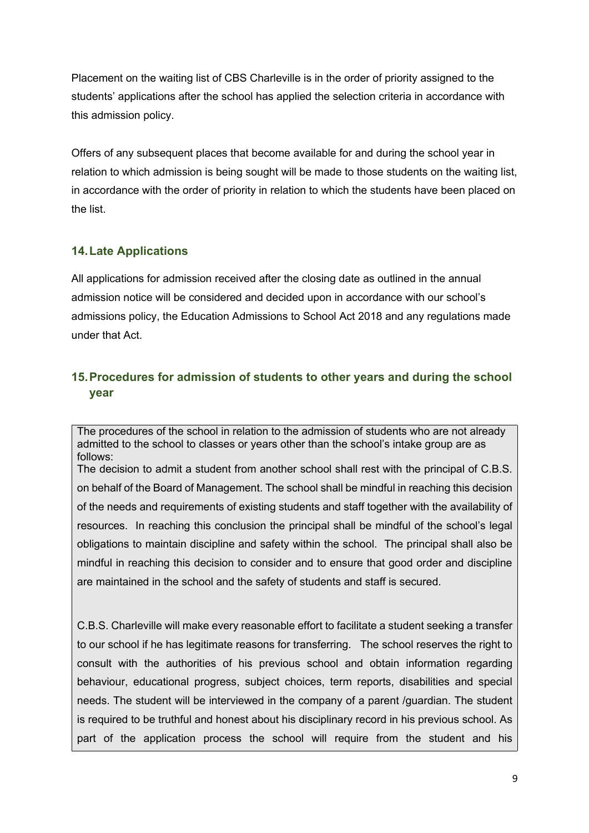Placement on the waiting list of CBS Charleville is in the order of priority assigned to the students' applications after the school has applied the selection criteria in accordance with this admission policy.

Offers of any subsequent places that become available for and during the school year in relation to which admission is being sought will be made to those students on the waiting list, in accordance with the order of priority in relation to which the students have been placed on the list.

### **14.Late Applications**

All applications for admission received after the closing date as outlined in the annual admission notice will be considered and decided upon in accordance with our school's admissions policy, the Education Admissions to School Act 2018 and any regulations made under that Act.

# **15.Procedures for admission of students to other years and during the school year**

The procedures of the school in relation to the admission of students who are not already admitted to the school to classes or years other than the school's intake group are as follows:

The decision to admit a student from another school shall rest with the principal of C.B.S. on behalf of the Board of Management. The school shall be mindful in reaching this decision of the needs and requirements of existing students and staff together with the availability of resources. In reaching this conclusion the principal shall be mindful of the school's legal obligations to maintain discipline and safety within the school. The principal shall also be mindful in reaching this decision to consider and to ensure that good order and discipline are maintained in the school and the safety of students and staff is secured.

C.B.S. Charleville will make every reasonable effort to facilitate a student seeking a transfer to our school if he has legitimate reasons for transferring. The school reserves the right to consult with the authorities of his previous school and obtain information regarding behaviour, educational progress, subject choices, term reports, disabilities and special needs. The student will be interviewed in the company of a parent /guardian. The student is required to be truthful and honest about his disciplinary record in his previous school. As part of the application process the school will require from the student and his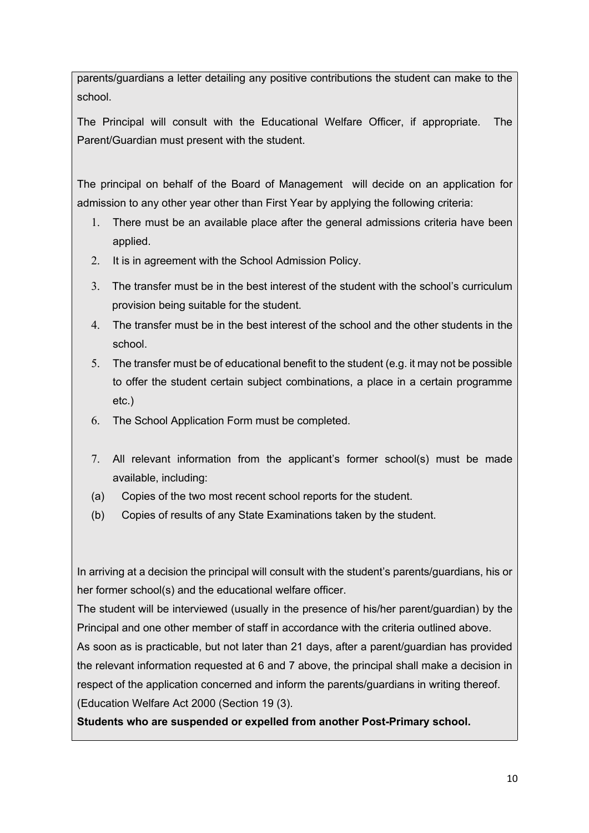parents/guardians a letter detailing any positive contributions the student can make to the school.

The Principal will consult with the Educational Welfare Officer, if appropriate. The Parent/Guardian must present with the student.

The principal on behalf of the Board of Management will decide on an application for admission to any other year other than First Year by applying the following criteria:

- 1. There must be an available place after the general admissions criteria have been applied.
- 2. It is in agreement with the School Admission Policy.
- 3. The transfer must be in the best interest of the student with the school's curriculum provision being suitable for the student.
- 4. The transfer must be in the best interest of the school and the other students in the school.
- 5. The transfer must be of educational benefit to the student (e.g. it may not be possible to offer the student certain subject combinations, a place in a certain programme etc.)
- 6. The School Application Form must be completed.
- 7. All relevant information from the applicant's former school(s) must be made available, including:
- (a) Copies of the two most recent school reports for the student.
- (b) Copies of results of any State Examinations taken by the student.

In arriving at a decision the principal will consult with the student's parents/guardians, his or her former school(s) and the educational welfare officer.

The student will be interviewed (usually in the presence of his/her parent/guardian) by the Principal and one other member of staff in accordance with the criteria outlined above.

As soon as is practicable, but not later than 21 days, after a parent/guardian has provided the relevant information requested at 6 and 7 above, the principal shall make a decision in respect of the application concerned and inform the parents/guardians in writing thereof. (Education Welfare Act 2000 (Section 19 (3).

**Students who are suspended or expelled from another Post-Primary school.**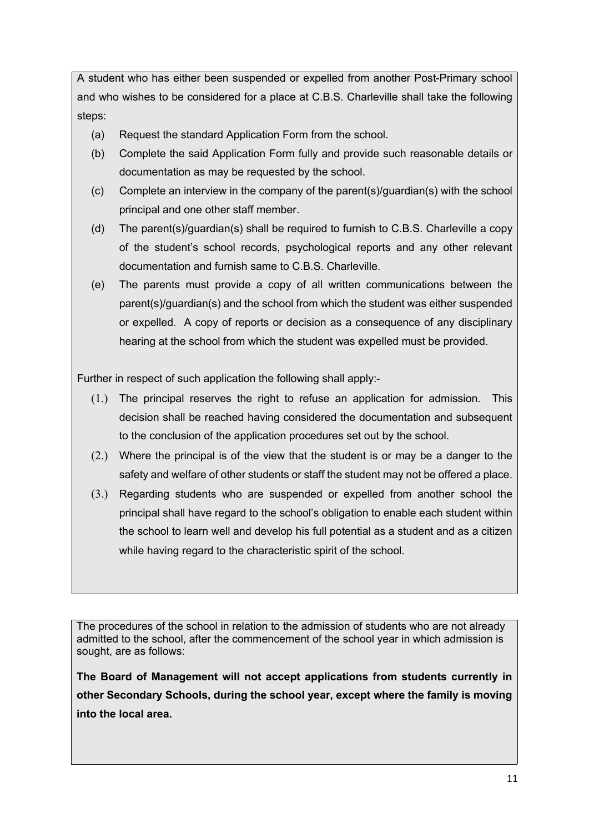A student who has either been suspended or expelled from another Post-Primary school and who wishes to be considered for a place at C.B.S. Charleville shall take the following steps:

- (a) Request the standard Application Form from the school.
- (b) Complete the said Application Form fully and provide such reasonable details or documentation as may be requested by the school.
- (c) Complete an interview in the company of the parent(s)/guardian(s) with the school principal and one other staff member.
- (d) The parent(s)/guardian(s) shall be required to furnish to C.B.S. Charleville a copy of the student's school records, psychological reports and any other relevant documentation and furnish same to C.B.S. Charleville.
- (e) The parents must provide a copy of all written communications between the parent(s)/guardian(s) and the school from which the student was either suspended or expelled. A copy of reports or decision as a consequence of any disciplinary hearing at the school from which the student was expelled must be provided.

Further in respect of such application the following shall apply:-

- (1.) The principal reserves the right to refuse an application for admission. This decision shall be reached having considered the documentation and subsequent to the conclusion of the application procedures set out by the school.
- (2.) Where the principal is of the view that the student is or may be a danger to the safety and welfare of other students or staff the student may not be offered a place.
- (3.) Regarding students who are suspended or expelled from another school the principal shall have regard to the school's obligation to enable each student within the school to learn well and develop his full potential as a student and as a citizen while having regard to the characteristic spirit of the school.

The procedures of the school in relation to the admission of students who are not already admitted to the school, after the commencement of the school year in which admission is sought, are as follows:

**The Board of Management will not accept applications from students currently in other Secondary Schools, during the school year, except where the family is moving into the local area.**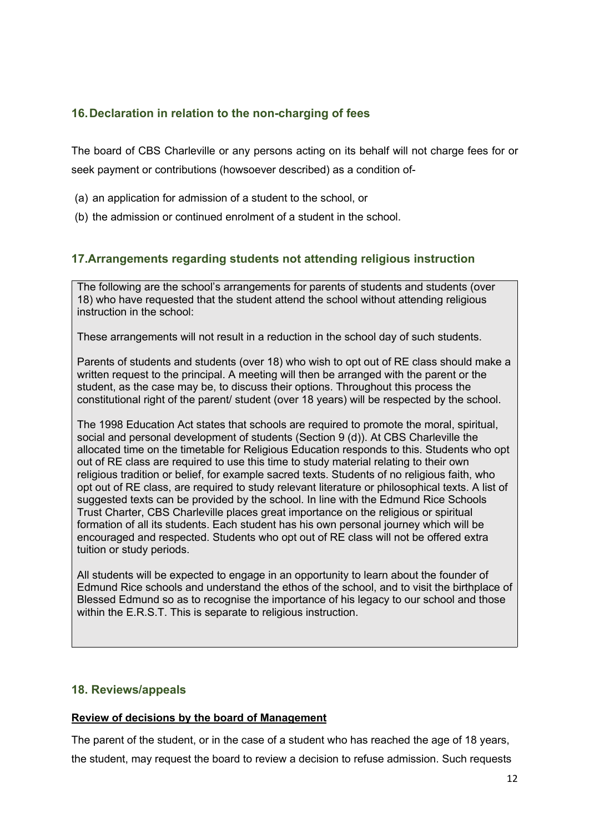## **16.Declaration in relation to the non-charging of fees**

The board of CBS Charleville or any persons acting on its behalf will not charge fees for or seek payment or contributions (howsoever described) as a condition of-

- (a) an application for admission of a student to the school, or
- (b) the admission or continued enrolment of a student in the school.

### **17.Arrangements regarding students not attending religious instruction**

The following are the school's arrangements for parents of students and students (over 18) who have requested that the student attend the school without attending religious instruction in the school:

These arrangements will not result in a reduction in the school day of such students.

Parents of students and students (over 18) who wish to opt out of RE class should make a written request to the principal. A meeting will then be arranged with the parent or the student, as the case may be, to discuss their options. Throughout this process the constitutional right of the parent/ student (over 18 years) will be respected by the school.

The 1998 Education Act states that schools are required to promote the moral, spiritual, social and personal development of students (Section 9 (d)). At CBS Charleville the allocated time on the timetable for Religious Education responds to this. Students who opt out of RE class are required to use this time to study material relating to their own religious tradition or belief, for example sacred texts. Students of no religious faith, who opt out of RE class, are required to study relevant literature or philosophical texts. A list of suggested texts can be provided by the school. In line with the Edmund Rice Schools Trust Charter, CBS Charleville places great importance on the religious or spiritual formation of all its students. Each student has his own personal journey which will be encouraged and respected. Students who opt out of RE class will not be offered extra tuition or study periods.

All students will be expected to engage in an opportunity to learn about the founder of Edmund Rice schools and understand the ethos of the school, and to visit the birthplace of Blessed Edmund so as to recognise the importance of his legacy to our school and those within the E.R.S.T. This is separate to religious instruction.

### **18. Reviews/appeals**

#### **Review of decisions by the board of Management**

The parent of the student, or in the case of a student who has reached the age of 18 years, the student, may request the board to review a decision to refuse admission. Such requests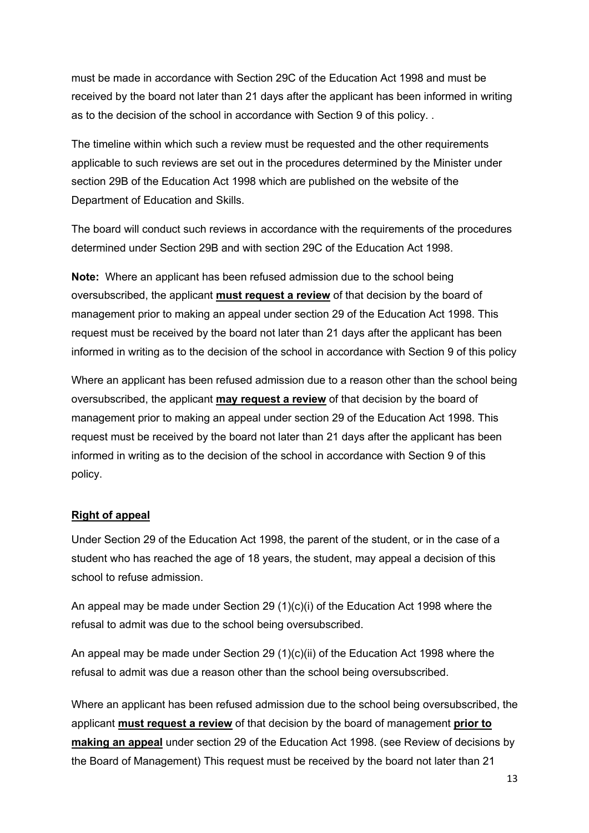must be made in accordance with Section 29C of the Education Act 1998 and must be received by the board not later than 21 days after the applicant has been informed in writing as to the decision of the school in accordance with Section 9 of this policy. .

The timeline within which such a review must be requested and the other requirements applicable to such reviews are set out in the procedures determined by the Minister under section 29B of the Education Act 1998 which are published on the website of the Department of Education and Skills.

The board will conduct such reviews in accordance with the requirements of the procedures determined under Section 29B and with section 29C of the Education Act 1998.

**Note:** Where an applicant has been refused admission due to the school being oversubscribed, the applicant **must request a review** of that decision by the board of management prior to making an appeal under section 29 of the Education Act 1998. This request must be received by the board not later than 21 days after the applicant has been informed in writing as to the decision of the school in accordance with Section 9 of this policy

Where an applicant has been refused admission due to a reason other than the school being oversubscribed, the applicant **may request a review** of that decision by the board of management prior to making an appeal under section 29 of the Education Act 1998. This request must be received by the board not later than 21 days after the applicant has been informed in writing as to the decision of the school in accordance with Section 9 of this policy.

### **Right of appeal**

Under Section 29 of the Education Act 1998, the parent of the student, or in the case of a student who has reached the age of 18 years, the student, may appeal a decision of this school to refuse admission.

An appeal may be made under Section 29 (1)(c)(i) of the Education Act 1998 where the refusal to admit was due to the school being oversubscribed.

An appeal may be made under Section 29 (1)(c)(ii) of the Education Act 1998 where the refusal to admit was due a reason other than the school being oversubscribed.

Where an applicant has been refused admission due to the school being oversubscribed, the applicant **must request a review** of that decision by the board of management **prior to making an appeal** under section 29 of the Education Act 1998. (see Review of decisions by the Board of Management) This request must be received by the board not later than 21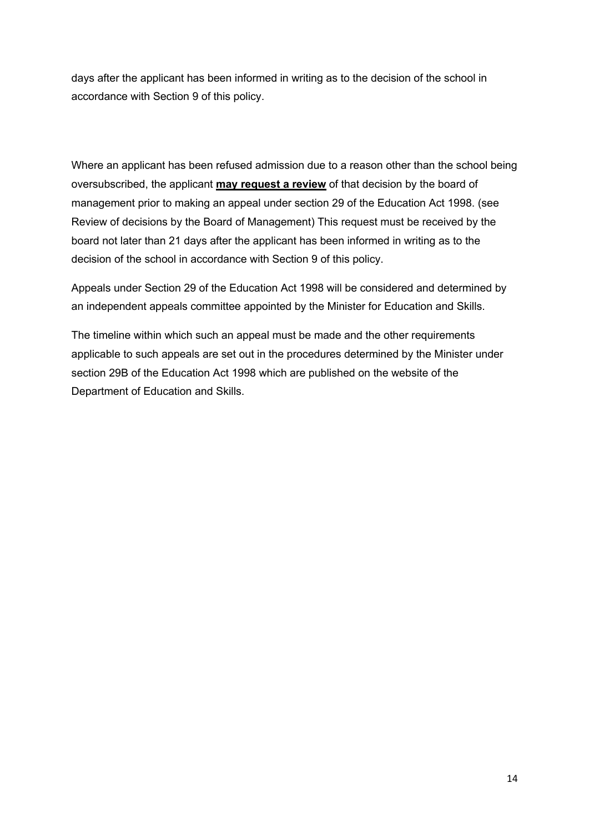days after the applicant has been informed in writing as to the decision of the school in accordance with Section 9 of this policy.

Where an applicant has been refused admission due to a reason other than the school being oversubscribed, the applicant **may request a review** of that decision by the board of management prior to making an appeal under section 29 of the Education Act 1998. (see Review of decisions by the Board of Management) This request must be received by the board not later than 21 days after the applicant has been informed in writing as to the decision of the school in accordance with Section 9 of this policy.

Appeals under Section 29 of the Education Act 1998 will be considered and determined by an independent appeals committee appointed by the Minister for Education and Skills.

The timeline within which such an appeal must be made and the other requirements applicable to such appeals are set out in the procedures determined by the Minister under section 29B of the Education Act 1998 which are published on the website of the Department of Education and Skills.